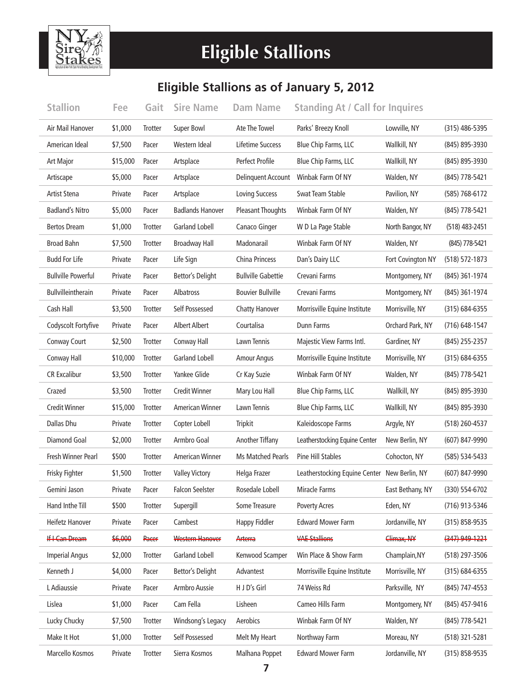

## **Eligible Stallions**

## **Eligible Stallions as of January 5, 2012**

| <b>Stallion</b>           | Fee      | Gait           | <b>Sire Name</b>        | <b>Dam Name</b>           | <b>Standing At / Call for Inquires</b>       |                   |                    |
|---------------------------|----------|----------------|-------------------------|---------------------------|----------------------------------------------|-------------------|--------------------|
| Air Mail Hanover          | \$1,000  | Trotter        | Super Bowl              | Ate The Towel             | Parks' Breezy Knoll                          | Lowville, NY      | $(315)$ 486-5395   |
| American Ideal            | \$7,500  | Pacer          | Western Ideal           | Lifetime Success          | Blue Chip Farms, LLC                         | Wallkill, NY      | (845) 895-3930     |
| Art Major                 | \$15,000 | Pacer          | Artsplace               | Perfect Profile           | Blue Chip Farms, LLC                         | Wallkill, NY      | (845) 895-3930     |
| Artiscape                 | \$5,000  | Pacer          | Artsplace               | Delinquent Account        | Winbak Farm Of NY                            | Walden, NY        | (845) 778-5421     |
| Artist Stena              | Private  | Pacer          | Artsplace               | <b>Loving Success</b>     | Swat Team Stable                             | Pavilion, NY      | (585) 768-6172     |
| <b>Badland's Nitro</b>    | \$5,000  | Pacer          | <b>Badlands Hanover</b> | <b>Pleasant Thoughts</b>  | Winbak Farm Of NY                            | Walden, NY        | (845) 778-5421     |
| <b>Bertos Dream</b>       | \$1,000  | <b>Trotter</b> | <b>Garland Lobell</b>   | Canaco Ginger             | W D La Page Stable                           | North Bangor, NY  | $(518)$ 483-2451   |
| <b>Broad Bahn</b>         | \$7,500  | Trotter        | <b>Broadway Hall</b>    | Madonarail                | Winbak Farm Of NY                            | Walden, NY        | (845) 778-5421     |
| <b>Budd For Life</b>      | Private  | Pacer          | Life Sign               | China Princess            | Dan's Dairy LLC                              | Fort Covington NY | $(518) 572 - 1873$ |
| <b>Bullville Powerful</b> | Private  | Pacer          | Bettor's Delight        | <b>Bullville Gabettie</b> | Crevani Farms                                | Montgomery, NY    | (845) 361-1974     |
| Bullvilleintherain        | Private  | Pacer          | Albatross               | <b>Bouvier Bullville</b>  | Crevani Farms                                | Montgomery, NY    | (845) 361-1974     |
| Cash Hall                 | \$3,500  | Trotter        | Self Possessed          | Chatty Hanover            | Morrisville Equine Institute                 | Morrisville, NY   | $(315) 684 - 6355$ |
| Codyscolt Fortyfive       | Private  | Pacer          | <b>Albert Albert</b>    | Courtalisa                | Dunn Farms                                   | Orchard Park, NY  | $(716)$ 648-1547   |
| Conway Court              | \$2,500  | <b>Trotter</b> | Conway Hall             | Lawn Tennis               | Majestic View Farms Intl.                    | Gardiner, NY      | (845) 255-2357     |
| Conway Hall               | \$10,000 | Trotter        | <b>Garland Lobell</b>   | <b>Amour Angus</b>        | Morrisville Equine Institute                 | Morrisville, NY   | $(315) 684 - 6355$ |
| <b>CR Excalibur</b>       | \$3,500  | Trotter        | Yankee Glide            | Cr Kay Suzie              | Winbak Farm Of NY                            | Walden, NY        | (845) 778-5421     |
| Crazed                    | \$3,500  | Trotter        | <b>Credit Winner</b>    | Mary Lou Hall             | Blue Chip Farms, LLC                         | Wallkill, NY      | (845) 895-3930     |
| <b>Credit Winner</b>      | \$15,000 | Trotter        | <b>American Winner</b>  | Lawn Tennis               | Blue Chip Farms, LLC                         | Wallkill, NY      | (845) 895-3930     |
| Dallas Dhu                | Private  | Trotter        | Copter Lobell           | Tripkit                   | Kaleidoscope Farms                           | Argyle, NY        | (518) 260-4537     |
| <b>Diamond Goal</b>       | \$2,000  | Trotter        | Armbro Goal             | Another Tiffany           | Leatherstocking Equine Center                | New Berlin, NY    | (607) 847-9990     |
| Fresh Winner Pearl        | \$500    | Trotter        | <b>American Winner</b>  | <b>Ms Matched Pearls</b>  | Pine Hill Stables                            | Cohocton, NY      | (585) 534-5433     |
| Frisky Fighter            | \$1,500  | Trotter        | <b>Valley Victory</b>   | Helga Frazer              | Leatherstocking Equine Center New Berlin, NY |                   | (607) 847-9990     |
| Gemini Jason              | Private  | Pacer          | <b>Falcon Seelster</b>  | Rosedale Lobell           | Miracle Farms                                | East Bethany, NY  | (330) 554-6702     |
| Hand Inthe Till           | \$500    | Trotter        | Supergill               | Some Treasure             | <b>Poverty Acres</b>                         | Eden, NY          | (716) 913-5346     |
| Heifetz Hanover           | Private  | Pacer          | Cambest                 | Happy Fiddler             | <b>Edward Mower Farm</b>                     | Jordanville, NY   | $(315) 858 - 9535$ |
| <b>If I Can Dream</b>     | \$6,000  | Pacer          | Western Hanover         | Arterra                   | <b>VAE Stallions</b>                         | Climax, NY        | $(347)$ 949-1221   |
| <b>Imperial Angus</b>     | \$2,000  | Trotter        | <b>Garland Lobell</b>   | Kenwood Scamper           | Win Place & Show Farm                        | Champlain, NY     | (518) 297-3506     |
| Kenneth J                 | \$4,000  | Pacer          | Bettor's Delight        | Advantest                 | Morrisville Equine Institute                 | Morrisville, NY   | $(315) 684 - 6355$ |
| L Adiaussie               | Private  | Pacer          | Armbro Aussie           | H J D's Girl              | 74 Weiss Rd                                  | Parksville, NY    | (845) 747-4553     |
| Lislea                    | \$1,000  | Pacer          | Cam Fella               | Lisheen                   | Cameo Hills Farm                             | Montgomery, NY    | (845) 457-9416     |
| Lucky Chucky              | \$7,500  | Trotter        | Windsong's Legacy       | Aerobics                  | Winbak Farm Of NY                            | Walden, NY        | (845) 778-5421     |
| Make It Hot               | \$1,000  | Trotter        | Self Possessed          | Melt My Heart             | Northway Farm                                | Moreau, NY        | $(518)$ 321-5281   |
| Marcello Kosmos           | Private  | Trotter        | Sierra Kosmos           | Malhana Poppet            | <b>Edward Mower Farm</b>                     | Jordanville, NY   | (315) 858-9535     |